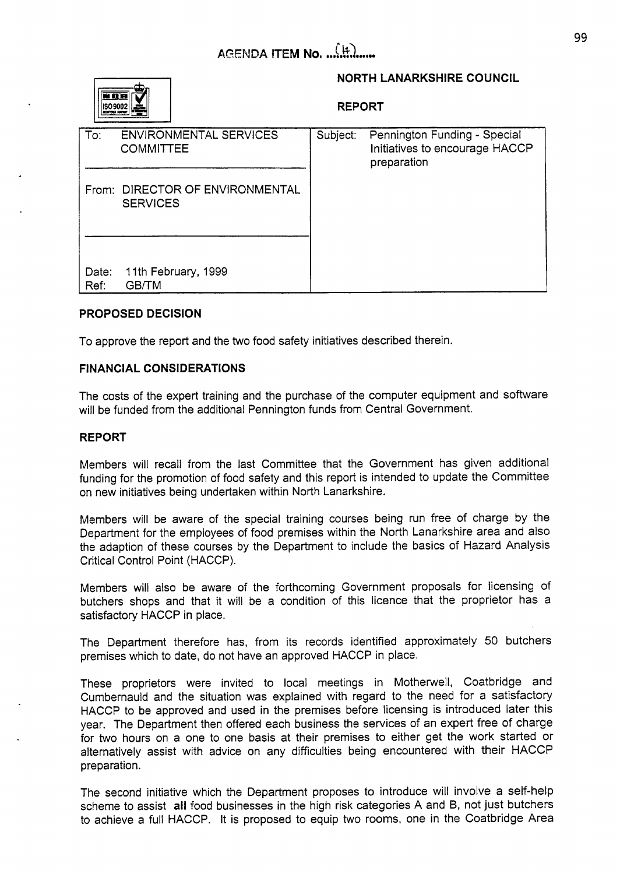

# **NORTH LANARKSHIRE COUNCIL**

**REPORT** 

| To:           | <b>ENVIRONMENTAL SERVICES</b><br><b>COMMITTEE</b>  | Subject: | Pennington Funding - Special<br>Initiatives to encourage HACCP<br>preparation |
|---------------|----------------------------------------------------|----------|-------------------------------------------------------------------------------|
|               | From: DIRECTOR OF ENVIRONMENTAL<br><b>SERVICES</b> |          |                                                                               |
| Date:<br>Ref: | 11th February, 1999<br><b>GB/TM</b>                |          |                                                                               |

# **PROPOSED DECISION**

To approve the report and the two food safety initiatives described therein.

## **FINANCIAL CONSIDERATIONS**

The costs of the expert training and the purchase of the computer equipment and software will be funded from the additional Pennington funds from Central Government.

### **REPORT**

Members will recall from the last Committee that the Government has given additional funding for the promotion of food safety and this report is intended to update the Committee on new initiatives being undertaken within North Lanarkshire.

Members will be aware of the special training courses being run free of charge by the Department for the employees of food premises within the North Lanarkshire area and also the adaption of these courses by the Department to include the basics of Hazard Analysis Critical Control Point (HACCP).

Members will also be aware of the forthcoming Government proposals for licensing of butchers shops and that it will be a condition of this licence that the proprietor has a satisfactory HACCP in place.

The Department therefore has, from its records identified approximately 50 butchers premises which to date, do not have an approved HACCP in place.

These proprietors were invited to local meetings in Motherwell, Coatbridge and Cumbernauld and the situation was explained with regard to the need for a satisfactory HACCP to be approved and used in the premises before licensing is introduced later this year. The Department then offered each business the services of an expert free of charge for two hours on a one to one basis at their premises to either get the work started or alternatively assist with advice on any difficulties being encountered with their HACCP preparation.

The second initiative which the Department proposes to introduce will involve a self-help scheme to assist **all** food businesses in the high risk categories A and B, not just butchers to achieve a full HACCP. It is proposed to equip two rooms, one in the Coatbridge Area